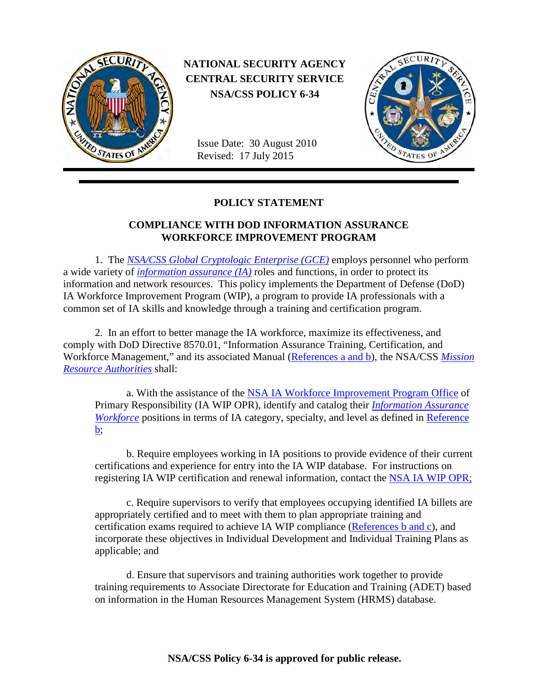

 **NATIONAL SECURITY AGENCY CENTRAL SECURITY SERVICE NSA/CSS POLICY 6-34**

Issue Date: 30 August 2010 Revised: 17 July 2015



## **POLICY STATEMENT**

## **COMPLIANCE WITH DOD INFORMATION ASSURANCE WORKFORCE IMPROVEMENT PROGRAM**

1. The *[NSA/CSS Global Cryptologic Enterprise \(GCE\)](#page-2-0)* employs personnel who perform a wide variety of *[information assurance \(IA\)](#page-2-1)* roles and functions, in order to protect its information and network resources. This policy implements the Department of Defense (DoD) IA Workforce Improvement Program (WIP), a program to provide IA professionals with a common set of IA skills and knowledge through a training and certification program.

2. In an effort to better manage the IA workforce, maximize its effectiveness, and comply with DoD Directive 8570.01, "Information Assurance Training, Certification, and Workforce Management," and its associated Manual [\(References a and b\)](#page-1-0), the NSA/CSS *[Mission](#page-2-2)  [Resource Authorities](#page-2-2)* shall:

a. With the assistance of the [NSA IA Workforce Improvement Program Office](https://issecurity.sp.web.nsa.ic.gov/iawip/default.aspx) of Primary Responsibility (IA WIP OPR), identify and catalog their *[Information Assurance](#page-2-3)  [Workforce](#page-2-3)* positions in terms of IA category, specialty, and level as defined in Reference [b;](#page-1-1)

b. Require employees working in IA positions to provide evidence of their current certifications and experience for entry into the IA WIP database. For instructions on registering IA WIP certification and renewal information, contact the [NSA IA WIP OPR;](mailto:DL%20IAWIP_NSA)

c. Require supervisors to verify that employees occupying identified IA billets are appropriately certified and to meet with them to plan appropriate training and certification exams required to achieve IA WIP compliance [\(References b and c\)](#page-1-1), and incorporate these objectives in Individual Development and Individual Training Plans as applicable; and

d. Ensure that supervisors and training authorities work together to provide training requirements to Associate Directorate for Education and Training (ADET) based on information in the Human Resources Management System (HRMS) database.

**NSA/CSS Policy 6-34 is approved for public release.**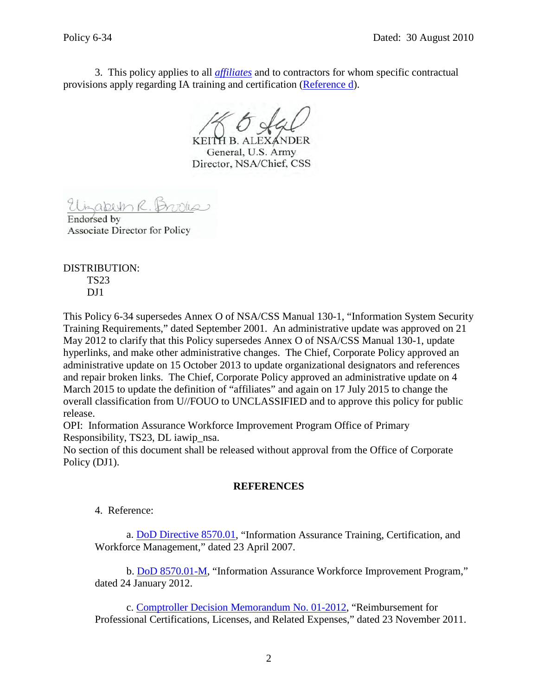3. This policy applies to all *[affiliates](#page-2-4)* and to contractors for whom specific contractual provisions apply regarding IA training and certification [\(Reference d\)](#page-2-5).

General, U.S. Army Director, NSA/Chief, CSS

Endorsed by **Associate Director for Policy** 

DISTRIBUTION: TS23  $DJ1$ 

This Policy 6-34 supersedes Annex O of NSA/CSS Manual 130-1, "Information System Security Training Requirements," dated September 2001. An administrative update was approved on 21 May 2012 to clarify that this Policy supersedes Annex O of NSA/CSS Manual 130-1, update hyperlinks, and make other administrative changes. The Chief, Corporate Policy approved an administrative update on 15 October 2013 to update organizational designators and references and repair broken links. The Chief, Corporate Policy approved an administrative update on 4 March 2015 to update the definition of "affiliates" and again on 17 July 2015 to change the overall classification from U//FOUO to UNCLASSIFIED and to approve this policy for public release.

OPI: Information Assurance Workforce Improvement Program Office of Primary Responsibility, TS23, DL iawip\_nsa.

No section of this document shall be released without approval from the Office of Corporate Policy (DJ1).

## **REFERENCES**

4. Reference:

<span id="page-1-0"></span>a. [DoD Directive 8570.01,](https://netinfo.proj.nsa.ic.gov/www.dtic.mil/whs/directives/corres/pdf/857001p.pdf) "Information Assurance Training, Certification, and Workforce Management," dated 23 April 2007.

<span id="page-1-1"></span>b. [DoD 8570.01-M,](https://netinfo.proj.nsa.ic.gov/www.dtic.mil/whs/directives/corres/pdf/857001m.pdf) "Information Assurance Workforce Improvement Program," dated 24 January 2012.

c. [Comptroller Decision Memorandum No. 01-2012,](https://bsecure.sp.web.nsa.ic.gov/sites/bmi/bf/BFP/Comptroller%20Decision%20Memorandums%20CDM/Professional%20Certificatios%20or%20Licenses.pdf) "Reimbursement for Professional Certifications, Licenses, and Related Expenses," dated 23 November 2011.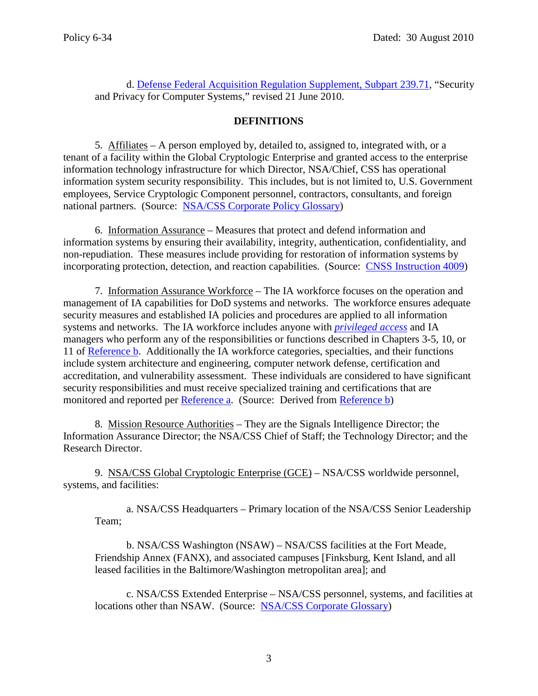<span id="page-2-5"></span>d. [Defense Federal Acquisition Regulation Supplement, Subpart 239.71,](https://netinfo.proj.nsa.ic.gov/www.acq.osd.mil/dpap/dars/dfars/html/current/239_71.htm) "Security and Privacy for Computer Systems," revised 21 June 2010.

## **DEFINITIONS**

<span id="page-2-4"></span>5. Affiliates – A person employed by, detailed to, assigned to, integrated with, or a tenant of a facility within the Global Cryptologic Enterprise and granted access to the enterprise information technology infrastructure for which Director, NSA/Chief, CSS has operational information system security responsibility. This includes, but is not limited to, U.S. Government employees, Service Cryptologic Component personnel, contractors, consultants, and foreign national partners. (Source: [NSA/CSS Corporate Policy Glossary\)](https://siteworks.web.nsa.ic.gov/?p_id=31910#Affiliate-TD_preferred)

<span id="page-2-1"></span>6. Information Assurance – Measures that protect and defend information and information systems by ensuring their availability, integrity, authentication, confidentiality, and non-repudiation. These measures include providing for restoration of information systems by incorporating protection, detection, and reaction capabilities. (Source: [CNSS Instruction 4009\)](https://www.iad.org.nsa.ic.gov/iadlibrary/library_display/openItem.cfm?itemID=5140)

<span id="page-2-3"></span>7. Information Assurance Workforce – The IA workforce focuses on the operation and management of IA capabilities for DoD systems and networks. The workforce ensures adequate security measures and established IA policies and procedures are applied to all information systems and networks. The IA workforce includes anyone with *[privileged access](#page-3-0)* and IA managers who perform any of the responsibilities or functions described in Chapters 3-5*,* 10, or 11 of [Reference b.](#page-1-1) Additionally the IA workforce categories, specialties, and their functions include system architecture and engineering, computer network defense, certification and accreditation, and vulnerability assessment. These individuals are considered to have significant security responsibilities and must receive specialized training and certifications that are monitored and reported per [Reference a.](#page-1-0) (Source: Derived from [Reference b\)](#page-1-1)

<span id="page-2-2"></span>8. Mission Resource Authorities – They are the Signals Intelligence Director; the Information Assurance Director; the NSA/CSS Chief of Staff; the Technology Director; and the Research Director.

9. NSA/CSS Global Cryptologic Enterprise (GCE) – NSA/CSS worldwide personnel, systems, and facilities:

<span id="page-2-0"></span>a. NSA/CSS Headquarters – Primary location of the NSA/CSS Senior Leadership Team;

b. NSA/CSS Washington (NSAW) – NSA/CSS facilities at the Fort Meade, Friendship Annex (FANX), and associated campuses [Finksburg, Kent Island, and all leased facilities in the Baltimore/Washington metropolitan area]; and

c. NSA/CSS Extended Enterprise – NSA/CSS personnel, systems, and facilities at locations other than NSAW. (Source: [NSA/CSS Corporate Glossary\)](https://siteworks.web.nsa.ic.gov/?p_id=31923#NSACSSGlobalCryptologicEnterprise)